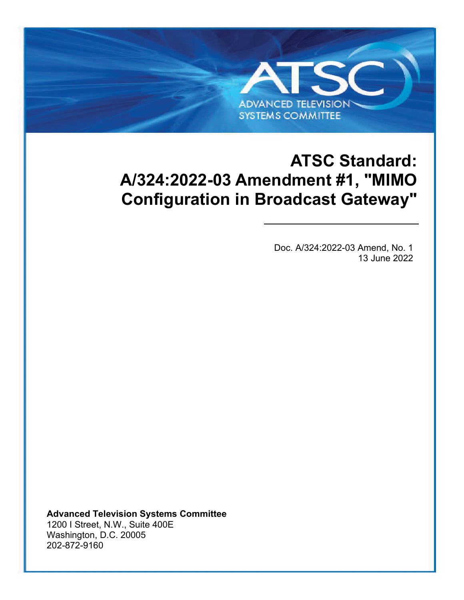# **ATSC Standard: A/324:2022-03 Amendment #1, "MIMO Configuration in Broadcast Gateway"**

**ADVANCED TELEVISION SYSTEMS COMMITTEE** 

ATSC A[/324:2022-03 Amend, No. 1](#page-0-0) [MIMO Configuration in Broadcast Gateway](#page-0-1) [13 June 2022](#page-0-2) 

<span id="page-0-2"></span><span id="page-0-1"></span><span id="page-0-0"></span>Doc. A/324:2022-03 Amend, No. 1 13 June 2022

**Advanced Television Systems Committee** 1200 I Street, N.W., Suite 400E Washington, D.C. 20005 202-872-9160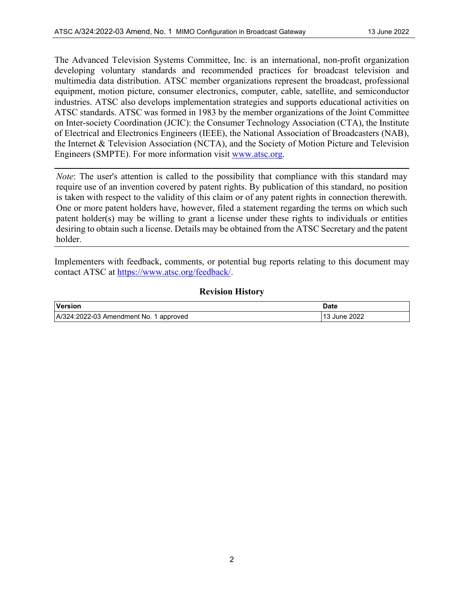The Advanced Television Systems Committee, Inc. is an international, non-profit organization developing voluntary standards and recommended practices for broadcast television and multimedia data distribution. ATSC member organizations represent the broadcast, professional equipment, motion picture, consumer electronics, computer, cable, satellite, and semiconductor industries. ATSC also develops implementation strategies and supports educational activities on ATSC standards. ATSC was formed in 1983 by the member organizations of the Joint Committee on Inter-society Coordination (JCIC): the Consumer Technology Association (CTA), the Institute of Electrical and Electronics Engineers (IEEE), the National Association of Broadcasters (NAB), the Internet & Television Association (NCTA), and the Society of Motion Picture and Television Engineers (SMPTE). For more information visit [www.atsc.org.](http://www.atsc.org/)

*Note*: The user's attention is called to the possibility that compliance with this standard may require use of an invention covered by patent rights. By publication of this standard, no position is taken with respect to the validity of this claim or of any patent rights in connection therewith. One or more patent holders have, however, filed a statement regarding the terms on which such patent holder(s) may be willing to grant a license under these rights to individuals or entities desiring to obtain such a license. Details may be obtained from the ATSC Secretary and the patent holder.

Implementers with feedback, comments, or potential bug reports relating to this document may contact ATSC at [https://www.atsc.org/feedback/.](https://www.atsc.org/feedback/)

#### **Revision History**

| Version                                | Date         |
|----------------------------------------|--------------|
| A/324:2022-03 Amendment No. 1 approved | 13 June 2022 |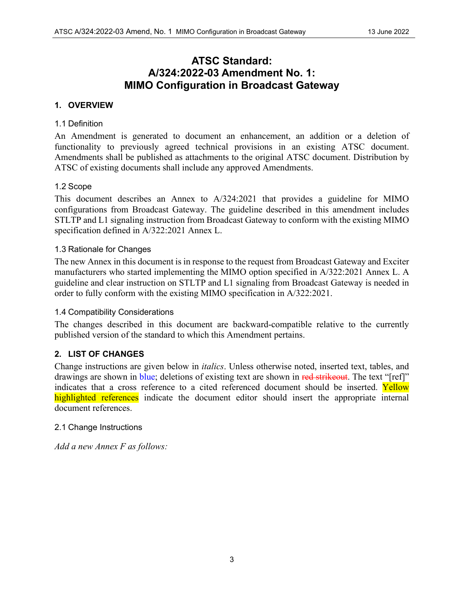### **ATSC Standard: A/324:2022-03 Amendment No. 1: [MIMO Configuration in Broadcast Gateway](#page-0-1)**

#### **1. OVERVIEW**

#### 1.1 Definition

An Amendment is generated to document an enhancement, an addition or a deletion of functionality to previously agreed technical provisions in an existing ATSC document. Amendments shall be published as attachments to the original ATSC document. Distribution by ATSC of existing documents shall include any approved Amendments.

#### 1.2 Scope

This document describes an Annex to A/324:2021 that provides a guideline for MIMO configurations from Broadcast Gateway. The guideline described in this amendment includes STLTP and L1 signaling instruction from Broadcast Gateway to conform with the existing MIMO specification defined in A/322:2021 Annex L.

#### 1.3 Rationale for Changes

The new Annex in this document is in response to the request from Broadcast Gateway and Exciter manufacturers who started implementing the MIMO option specified in A/322:2021 Annex L. A guideline and clear instruction on STLTP and L1 signaling from Broadcast Gateway is needed in order to fully conform with the existing MIMO specification in A/322:2021.

#### 1.4 Compatibility Considerations

The changes described in this document are backward-compatible relative to the currently published version of the standard to which this Amendment pertains.

#### **2. LIST OF CHANGES**

Change instructions are given below in *italics*. Unless otherwise noted, inserted text, tables, and drawings are shown in blue; deletions of existing text are shown in red strikeout. The text "[ref]" indicates that a cross reference to a cited referenced document should be inserted. Yellow highlighted references indicate the document editor should insert the appropriate internal document references.

#### 2.1 Change Instructions

*Add a new Annex F as follows:*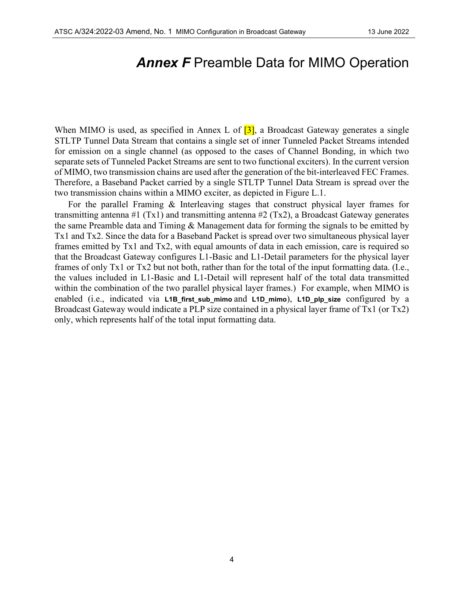## *Annex F* Preamble Data for MIMO Operation

When MIMO is used, as specified in Annex L of  $\overline{3}$ , a Broadcast Gateway generates a single STLTP Tunnel Data Stream that contains a single set of inner Tunneled Packet Streams intended for emission on a single channel (as opposed to the cases of Channel Bonding, in which two separate sets of Tunneled Packet Streams are sent to two functional exciters). In the current version of MIMO, two transmission chains are used after the generation of the bit-interleaved FEC Frames. Therefore, a Baseband Packet carried by a single STLTP Tunnel Data Stream is spread over the two transmission chains within a MIMO exciter, as depicted in Figure L.1.

For the parallel Framing & Interleaving stages that construct physical layer frames for transmitting antenna #1 (Tx1) and transmitting antenna #2 (Tx2), a Broadcast Gateway generates the same Preamble data and Timing & Management data for forming the signals to be emitted by Tx1 and Tx2. Since the data for a Baseband Packet is spread over two simultaneous physical layer frames emitted by Tx1 and Tx2, with equal amounts of data in each emission, care is required so that the Broadcast Gateway configures L1-Basic and L1-Detail parameters for the physical layer frames of only Tx1 or Tx2 but not both, rather than for the total of the input formatting data. (I.e., the values included in L1-Basic and L1-Detail will represent half of the total data transmitted within the combination of the two parallel physical layer frames.) For example, when MIMO is enabled (i.e., indicated via **L1B\_first\_sub\_mimo** and **L1D\_mimo**), **L1D\_plp\_size** configured by a Broadcast Gateway would indicate a PLP size contained in a physical layer frame of Tx1 (or Tx2) only, which represents half of the total input formatting data.